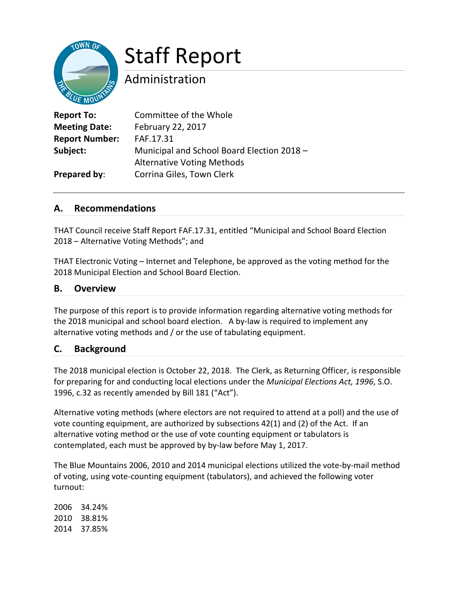## Staff Report

### Administration

| <b>Report To:</b>     | Committee of the Whole                     |
|-----------------------|--------------------------------------------|
| <b>Meeting Date:</b>  | February 22, 2017                          |
| <b>Report Number:</b> | FAF.17.31                                  |
| Subject:              | Municipal and School Board Election 2018 - |
|                       | <b>Alternative Voting Methods</b>          |
| Prepared by:          | Corrina Giles, Town Clerk                  |

#### **A. Recommendations**

THAT Council receive Staff Report FAF.17.31, entitled "Municipal and School Board Election 2018 – Alternative Voting Methods"; and

THAT Electronic Voting – Internet and Telephone, be approved as the voting method for the 2018 Municipal Election and School Board Election.

#### **B. Overview**

The purpose of this report is to provide information regarding alternative voting methods for the 2018 municipal and school board election. A by-law is required to implement any alternative voting methods and / or the use of tabulating equipment.

#### **C. Background**

The 2018 municipal election is October 22, 2018. The Clerk, as Returning Officer, is responsible for preparing for and conducting local elections under the *Municipal Elections Act, 1996*, S.O. 1996, c.32 as recently amended by Bill 181 ("Act").

Alternative voting methods (where electors are not required to attend at a poll) and the use of vote counting equipment, are authorized by subsections 42(1) and (2) of the Act. If an alternative voting method or the use of vote counting equipment or tabulators is contemplated, each must be approved by by-law before May 1, 2017.

The Blue Mountains 2006, 2010 and 2014 municipal elections utilized the vote-by-mail method of voting, using vote-counting equipment (tabulators), and achieved the following voter turnout:

2006 34.24% 2010 38.81% 2014 37.85%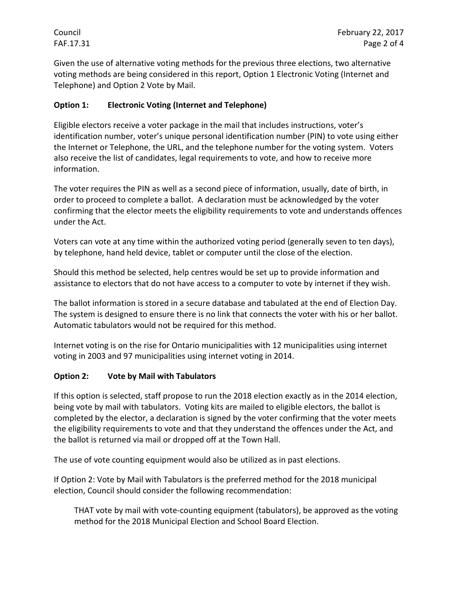Given the use of alternative voting methods for the previous three elections, two alternative voting methods are being considered in this report, Option 1 Electronic Voting (Internet and Telephone) and Option 2 Vote by Mail.

#### **Option 1: Electronic Voting (Internet and Telephone)**

Eligible electors receive a voter package in the mail that includes instructions, voter's identification number, voter's unique personal identification number (PIN) to vote using either the Internet or Telephone, the URL, and the telephone number for the voting system. Voters also receive the list of candidates, legal requirements to vote, and how to receive more information.

The voter requires the PIN as well as a second piece of information, usually, date of birth, in order to proceed to complete a ballot. A declaration must be acknowledged by the voter confirming that the elector meets the eligibility requirements to vote and understands offences under the Act.

Voters can vote at any time within the authorized voting period (generally seven to ten days), by telephone, hand held device, tablet or computer until the close of the election.

Should this method be selected, help centres would be set up to provide information and assistance to electors that do not have access to a computer to vote by internet if they wish.

The ballot information is stored in a secure database and tabulated at the end of Election Day. The system is designed to ensure there is no link that connects the voter with his or her ballot. Automatic tabulators would not be required for this method.

Internet voting is on the rise for Ontario municipalities with 12 municipalities using internet voting in 2003 and 97 municipalities using internet voting in 2014.

#### **Option 2: Vote by Mail with Tabulators**

If this option is selected, staff propose to run the 2018 election exactly as in the 2014 election, being vote by mail with tabulators. Voting kits are mailed to eligible electors, the ballot is completed by the elector, a declaration is signed by the voter confirming that the voter meets the eligibility requirements to vote and that they understand the offences under the Act, and the ballot is returned via mail or dropped off at the Town Hall.

The use of vote counting equipment would also be utilized as in past elections.

If Option 2: Vote by Mail with Tabulators is the preferred method for the 2018 municipal election, Council should consider the following recommendation:

THAT vote by mail with vote-counting equipment (tabulators), be approved as the voting method for the 2018 Municipal Election and School Board Election.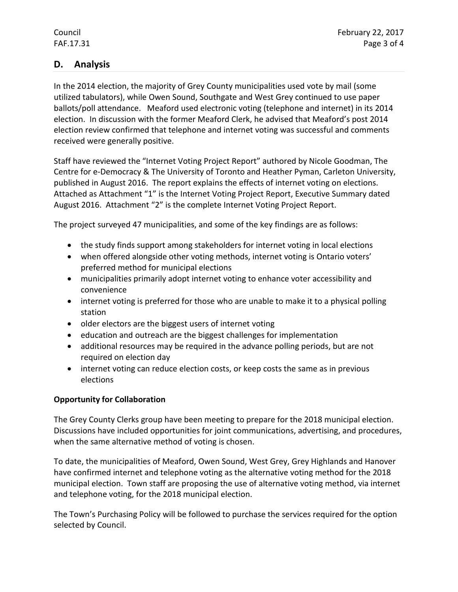#### **D. Analysis**

In the 2014 election, the majority of Grey County municipalities used vote by mail (some utilized tabulators), while Owen Sound, Southgate and West Grey continued to use paper ballots/poll attendance. Meaford used electronic voting (telephone and internet) in its 2014 election. In discussion with the former Meaford Clerk, he advised that Meaford's post 2014 election review confirmed that telephone and internet voting was successful and comments received were generally positive.

Staff have reviewed the "Internet Voting Project Report" authored by Nicole Goodman, The Centre for e-Democracy & The University of Toronto and Heather Pyman, Carleton University, published in August 2016. The report explains the effects of internet voting on elections. Attached as Attachment "1" is the Internet Voting Project Report, Executive Summary dated August 2016. Attachment "2" is the complete Internet Voting Project Report.

The project surveyed 47 municipalities, and some of the key findings are as follows:

- the study finds support among stakeholders for internet voting in local elections
- when offered alongside other voting methods, internet voting is Ontario voters' preferred method for municipal elections
- municipalities primarily adopt internet voting to enhance voter accessibility and convenience
- internet voting is preferred for those who are unable to make it to a physical polling station
- older electors are the biggest users of internet voting
- education and outreach are the biggest challenges for implementation
- additional resources may be required in the advance polling periods, but are not required on election day
- internet voting can reduce election costs, or keep costs the same as in previous elections

#### **Opportunity for Collaboration**

The Grey County Clerks group have been meeting to prepare for the 2018 municipal election. Discussions have included opportunities for joint communications, advertising, and procedures, when the same alternative method of voting is chosen.

To date, the municipalities of Meaford, Owen Sound, West Grey, Grey Highlands and Hanover have confirmed internet and telephone voting as the alternative voting method for the 2018 municipal election. Town staff are proposing the use of alternative voting method, via internet and telephone voting, for the 2018 municipal election.

The Town's Purchasing Policy will be followed to purchase the services required for the option selected by Council.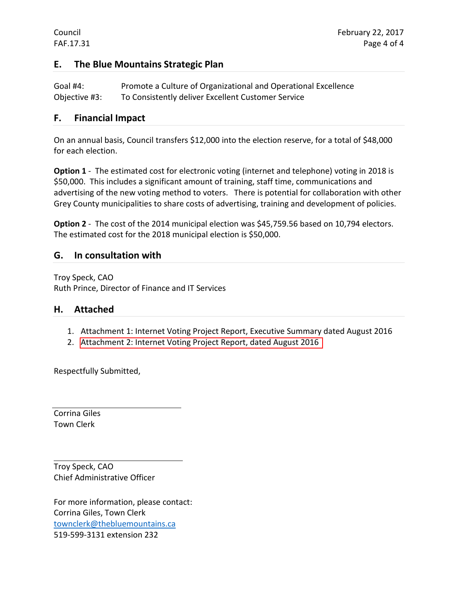#### **E. The Blue Mountains Strategic Plan**

Goal #4: Promote a Culture of Organizational and Operational Excellence Objective #3: To Consistently deliver Excellent Customer Service

#### **F. Financial Impact**

On an annual basis, Council transfers \$12,000 into the election reserve, for a total of \$48,000 for each election.

**Option 1** - The estimated cost for electronic voting (internet and telephone) voting in 2018 is \$50,000. This includes a significant amount of training, staff time, communications and advertising of the new voting method to voters. There is potential for collaboration with other Grey County municipalities to share costs of advertising, training and development of policies.

**Option 2** - The cost of the 2014 municipal election was \$45,759.56 based on 10,794 electors. The estimated cost for the 2018 municipal election is \$50,000.

#### **G. In consultation with**

Troy Speck, CAO Ruth Prince, Director of Finance and IT Services

#### **H. Attached**

- 1. Attachment 1: Internet Voting Project Report, Executive Summary dated August 2016
- 2. [Attachment 2: Internet Voting Project Report, dated August 2016](http://www.centreforedemocracy.com/wp-content/uploads/2016/08/IVP_Report.pdf)

Respectfully Submitted,

Corrina Giles Town Clerk

Troy Speck, CAO Chief Administrative Officer

For more information, please contact: Corrina Giles, Town Clerk [townclerk@thebluemountains.ca](mailto:townclerk@thebluemountains.ca) 519-599-3131 extension 232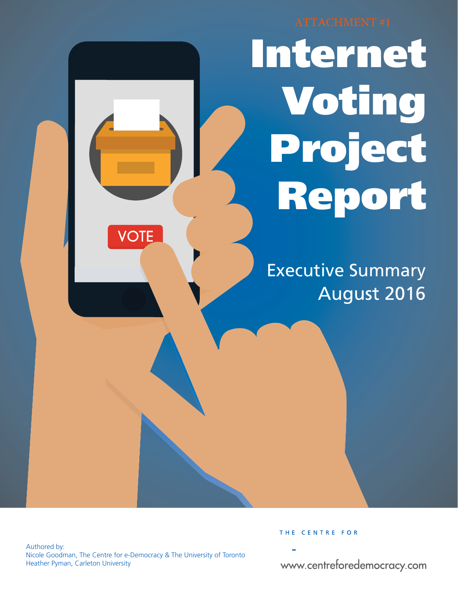# Internet Voting Project Report

Executive Summary August 2016

Authored by: Nicole Goodman, The Centre for e-Democracy & The University of Toronto Heather Pyman, Carleton University

**VOTE** 

THE CENTRE FOR

www.centreforedemocracy.com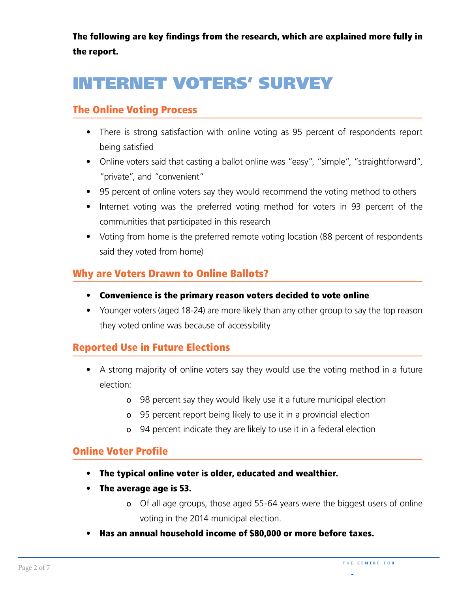The following are key findings from the research, which are explained more fully in the report.

## INTERNET VOTERS' SURVEY

#### The Online Voting Process

- There is strong satisfaction with online voting as 95 percent of respondents report being satisfied
- Online voters said that casting a ballot online was "easy", "simple", "straightforward", "private", and "convenient"
- 95 percent of online voters say they would recommend the voting method to others
- Internet voting was the preferred voting method for voters in 93 percent of the communities that participated in this research
- Voting from home is the preferred remote voting location (88 percent of respondents said they voted from home)

#### Why are Voters Drawn to Online Ballots?

- Convenience is the primary reason voters decided to vote online
- Younger voters (aged 18-24) are more likely than any other group to say the top reason they voted online was because of accessibility

#### Reported Use in Future Elections

- A strong majority of online voters say they would use the voting method in a future election:
	- ס 98 percent say they would likely use it a future municipal election
	- ס 95 percent report being likely to use it in a provincial election
	- ס 94 percent indicate they are likely to use it in a federal election

#### **Online Voter Profile**

- The typical online voter is older, educated and wealthier.
- The average age is 53.
	- ס Of all age groups, those aged 55-64 years were the biggest users of online voting in the 2014 municipal election.
- Has an annual household income of \$80,000 or more before taxes.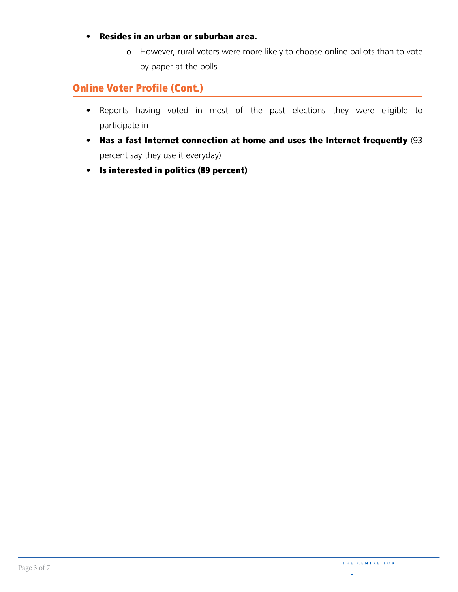#### • Resides in an urban or suburban area.

However, rural voters were more likely to choose online ballots than to vote ס by paper at the polls.

#### **Online Voter Profile (Cont.)**

- Reports having voted in most of the past elections they were eligible to participate in
- Has a fast Internet connection at home and uses the Internet frequently (93 percent say they use it everyday)
- Is interested in politics (89 percent)

i.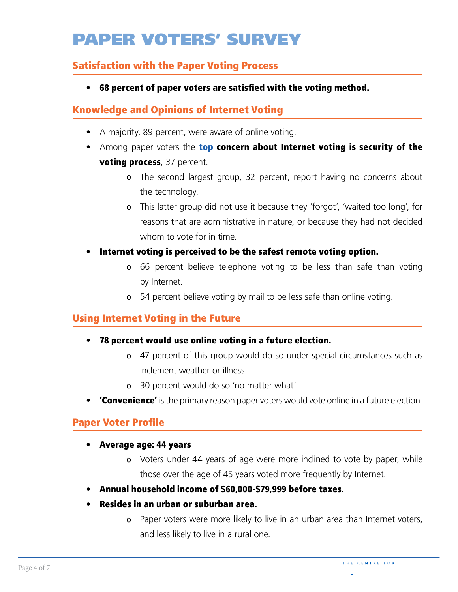## PAPER VOTERS' SURVEY

#### Satisfaction with the Paper Voting Process

• 68 percent of paper voters are satisfed with the voting method.

#### Knowledge and Opinions of Internet Voting

- A majority, 89 percent, were aware of online voting.
- Among paper voters the **top concern about Internet voting is security of the** voting process, 37 percent.
	- ס The second largest group, 32 percent, report having no concerns about the technology.
	- ס This latter group did not use it because they 'forgot', 'waited too long', for reasons that are administrative in nature, or because they had not decided whom to vote for in time.
- Internet voting is perceived to be the safest remote voting option.
	- ס 66 percent believe telephone voting to be less than safe than voting by Internet.
	- ס 54 percent believe voting by mail to be less safe than online voting.

#### Using Internet Voting in the Future

- 78 percent would use online voting in a future election.
	- ס 47 percent of this group would do so under special circumstances such as inclement weather or illness.
	- ס 30 percent would do so 'no matter what'.
- **Convenience'** is the primary reason paper voters would vote online in a future election.

#### Paper Voter Profile

- Average age: 44 years
	- ס Voters under 44 years of age were more inclined to vote by paper, while those over the age of 45 years voted more frequently by Internet.
- Annual household income of \$60,000-\$79,999 before taxes.
- Resides in an urban or suburban area.
	- ס Paper voters were more likely to live in an urban area than Internet voters, and less likely to live in a rural one.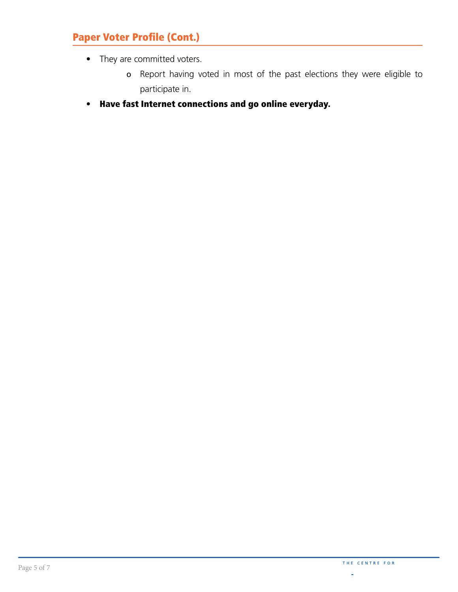#### Paper Voter Profile (Cont.)

- They are committed voters.
	- ס Report having voted in most of the past elections they were eligible to participate in.
- Have fast Internet connections and go online everyday.

ä,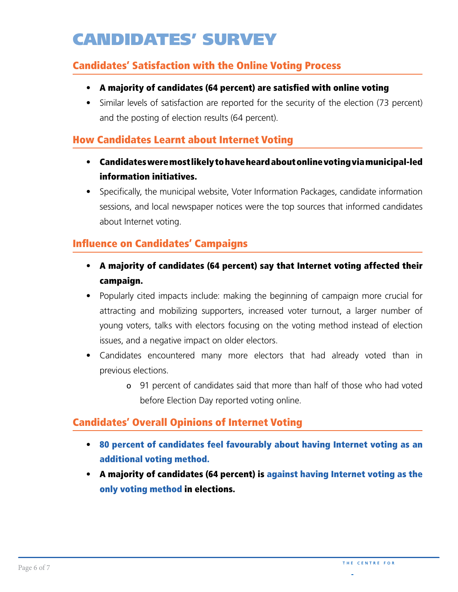## CANDIDATES' SURVEY

#### Candidates' Satisfaction with the Online Voting Process

- A majority of candidates (64 percent) are satisfed with online voting
- Similar levels of satisfaction are reported for the security of the election (73 percent) and the posting of election results (64 percent).

#### How Candidates Learnt about Internet Voting

- Candidates were most likely to have heard about online voting via municipal-led information initiatives.
- Specifically, the municipal website, Voter Information Packages, candidate information sessions, and local newspaper notices were the top sources that informed candidates about Internet voting.

#### Infuence on Candidates' Campaigns

- A majority of candidates (64 percent) say that Internet voting affected their campaign.
- Popularly cited impacts include: making the beginning of campaign more crucial for attracting and mobilizing supporters, increased voter turnout, a larger number of young voters, talks with electors focusing on the voting method instead of election issues, and a negative impact on older electors.
- Candidates encountered many more electors that had already voted than in previous elections.
	- ס 91 percent of candidates said that more than half of those who had voted before Election Day reported voting online.

#### Candidates' Overall Opinions of Internet Voting

- 80 percent of candidates feel favourably about having Internet voting as an additional voting method.
- A majority of candidates (64 percent) is against having Internet voting as the only voting method in elections.